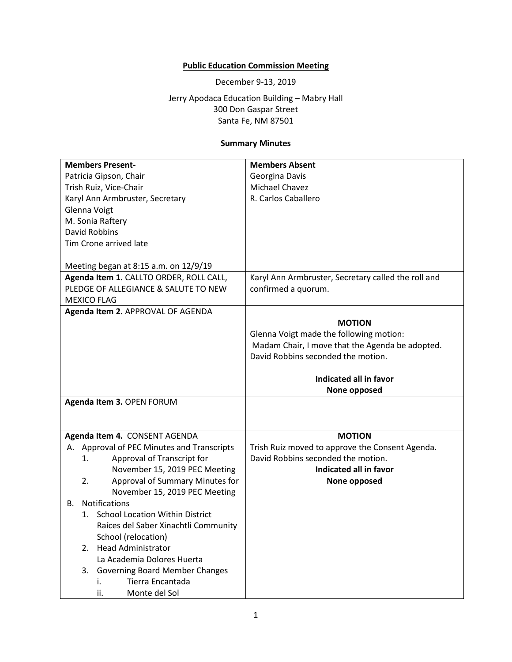# **Public Education Commission Meeting**

December 9-13, 2019

Jerry Apodaca Education Building – Mabry Hall 300 Don Gaspar Street Santa Fe, NM 87501

## **Summary Minutes**

| <b>Members Present-</b>                           | <b>Members Absent</b>                               |
|---------------------------------------------------|-----------------------------------------------------|
| Patricia Gipson, Chair                            | Georgina Davis                                      |
| Trish Ruiz, Vice-Chair                            | Michael Chavez                                      |
| Karyl Ann Armbruster, Secretary                   | R. Carlos Caballero                                 |
| Glenna Voigt                                      |                                                     |
| M. Sonia Raftery                                  |                                                     |
| <b>David Robbins</b>                              |                                                     |
| Tim Crone arrived late                            |                                                     |
|                                                   |                                                     |
| Meeting began at 8:15 a.m. on 12/9/19             |                                                     |
| Agenda Item 1. CALLTO ORDER, ROLL CALL,           | Karyl Ann Armbruster, Secretary called the roll and |
| PLEDGE OF ALLEGIANCE & SALUTE TO NEW              | confirmed a quorum.                                 |
| <b>MEXICO FLAG</b>                                |                                                     |
| Agenda Item 2. APPROVAL OF AGENDA                 |                                                     |
|                                                   | <b>MOTION</b>                                       |
|                                                   | Glenna Voigt made the following motion:             |
|                                                   | Madam Chair, I move that the Agenda be adopted.     |
|                                                   | David Robbins seconded the motion.                  |
|                                                   | Indicated all in favor                              |
|                                                   |                                                     |
|                                                   | None opposed                                        |
|                                                   |                                                     |
| Agenda Item 3. OPEN FORUM                         |                                                     |
|                                                   |                                                     |
| Agenda Item 4. CONSENT AGENDA                     | <b>MOTION</b>                                       |
| Approval of PEC Minutes and Transcripts<br>А.     | Trish Ruiz moved to approve the Consent Agenda.     |
| Approval of Transcript for<br>1.                  | David Robbins seconded the motion.                  |
| November 15, 2019 PEC Meeting                     | Indicated all in favor                              |
| Approval of Summary Minutes for<br>2.             | None opposed                                        |
| November 15, 2019 PEC Meeting                     |                                                     |
| Notifications<br>В.                               |                                                     |
| <b>School Location Within District</b><br>$1_{-}$ |                                                     |
| Raíces del Saber Xinachtli Community              |                                                     |
| School (relocation)                               |                                                     |
| <b>Head Administrator</b><br>2.                   |                                                     |
| La Academia Dolores Huerta                        |                                                     |
| 3.<br>Governing Board Member Changes              |                                                     |
| Tierra Encantada<br>i.                            |                                                     |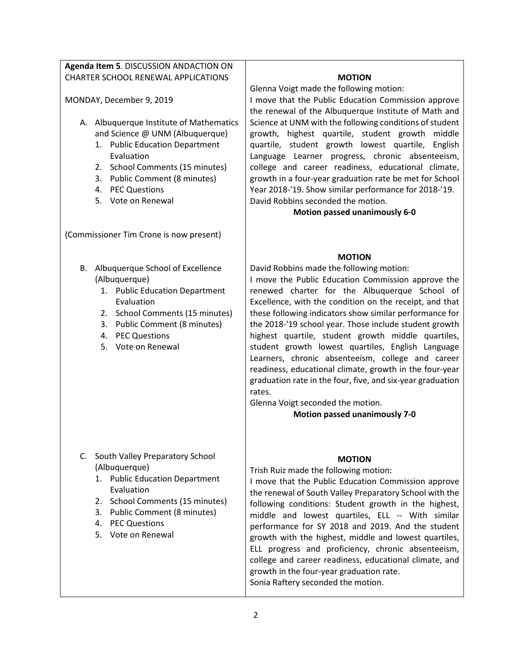## **Agenda Item 5**. DISCUSSION ANDACTION ON CHARTER SCHOOL RENEWAL APPLICATIONS

MONDAY, December 9, 2019

- A. Albuquerque Institute of Mathematics and Science @ UNM (Albuquerque)
	- 1. Public Education Department Evaluation
	- 2. School Comments (15 minutes)
	- 3. Public Comment (8 minutes)
	- 4. PEC Questions
	- 5. Vote on Renewal

(Commissioner Tim Crone is now present)

- B. Albuquerque School of Excellence (Albuquerque)
	- 1. Public Education Department Evaluation
	- 2. School Comments (15 minutes)
	- 3. Public Comment (8 minutes)
	- 4. PEC Questions
	- 5. Vote on Renewal

- C. South Valley Preparatory School (Albuquerque)
	- 1. Public Education Department Evaluation
	- 2. School Comments (15 minutes)
	- 3. Public Comment (8 minutes)
	- 4. PEC Questions
	- 5. Vote on Renewal

#### **MOTION**

Glenna Voigt made the following motion:

I move that the Public Education Commission approve the renewal of the Albuquerque Institute of Math and Science at UNM with the following conditions of student growth, highest quartile, student growth middle quartile, student growth lowest quartile, English Language Learner progress, chronic absenteeism, college and career readiness, educational climate, growth in a four-year graduation rate be met for School Year 2018-'19. Show similar performance for 2018-'19. David Robbins seconded the motion.

**Motion passed unanimously 6-0**

#### **MOTION**

David Robbins made the following motion: I move the Public Education Commission approve the renewed charter for the Albuquerque School of Excellence, with the condition on the receipt, and that these following indicators show similar performance for the 2018-'19 school year. Those include student growth highest quartile, student growth middle quartiles, student growth lowest quartiles, English Language Learners, chronic absenteeism, college and career readiness, educational climate, growth in the four-year graduation rate in the four, five, and six-year graduation rates.

Glenna Voigt seconded the motion.

**Motion passed unanimously 7-0**

#### **MOTION**

Trish Ruiz made the following motion:

I move that the Public Education Commission approve the renewal of South Valley Preparatory School with the following conditions: Student growth in the highest, middle and lowest quartiles, ELL -- With similar performance for SY 2018 and 2019. And the student growth with the highest, middle and lowest quartiles, ELL progress and proficiency, chronic absenteeism, college and career readiness, educational climate, and growth in the four-year graduation rate. Sonia Raftery seconded the motion.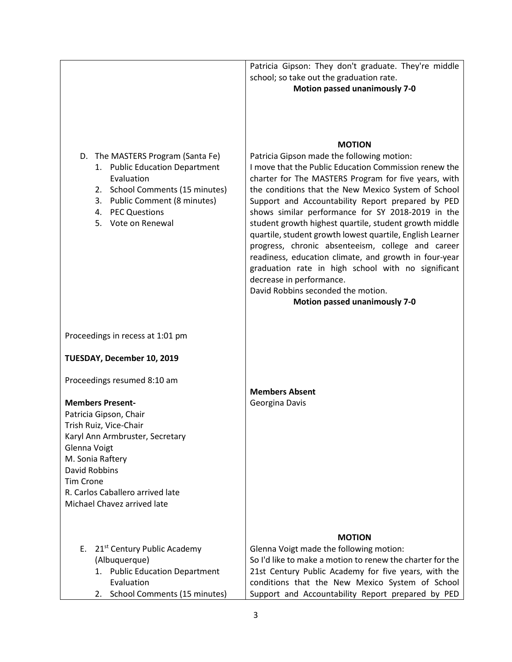|                                                                                                                                                                                                 | Patricia Gipson: They don't graduate. They're middle<br>school; so take out the graduation rate.<br><b>Motion passed unanimously 7-0</b>                                                                                                                                                                                                                                                                                                                                                                                                                                                                                                                                                                                                           |
|-------------------------------------------------------------------------------------------------------------------------------------------------------------------------------------------------|----------------------------------------------------------------------------------------------------------------------------------------------------------------------------------------------------------------------------------------------------------------------------------------------------------------------------------------------------------------------------------------------------------------------------------------------------------------------------------------------------------------------------------------------------------------------------------------------------------------------------------------------------------------------------------------------------------------------------------------------------|
| D. The MASTERS Program (Santa Fe)<br>1. Public Education Department<br>Evaluation<br>2. School Comments (15 minutes)<br>3. Public Comment (8 minutes)<br>4. PEC Questions<br>5. Vote on Renewal | <b>MOTION</b><br>Patricia Gipson made the following motion:<br>I move that the Public Education Commission renew the<br>charter for The MASTERS Program for five years, with<br>the conditions that the New Mexico System of School<br>Support and Accountability Report prepared by PED<br>shows similar performance for SY 2018-2019 in the<br>student growth highest quartile, student growth middle<br>quartile, student growth lowest quartile, English Learner<br>progress, chronic absenteeism, college and career<br>readiness, education climate, and growth in four-year<br>graduation rate in high school with no significant<br>decrease in performance.<br>David Robbins seconded the motion.<br><b>Motion passed unanimously 7-0</b> |
| Proceedings in recess at 1:01 pm                                                                                                                                                                |                                                                                                                                                                                                                                                                                                                                                                                                                                                                                                                                                                                                                                                                                                                                                    |
| TUESDAY, December 10, 2019                                                                                                                                                                      |                                                                                                                                                                                                                                                                                                                                                                                                                                                                                                                                                                                                                                                                                                                                                    |
| Proceedings resumed 8:10 am                                                                                                                                                                     | <b>Members Absent</b>                                                                                                                                                                                                                                                                                                                                                                                                                                                                                                                                                                                                                                                                                                                              |
| <b>Members Present-</b>                                                                                                                                                                         | Georgina Davis                                                                                                                                                                                                                                                                                                                                                                                                                                                                                                                                                                                                                                                                                                                                     |
| Patricia Gipson, Chair                                                                                                                                                                          |                                                                                                                                                                                                                                                                                                                                                                                                                                                                                                                                                                                                                                                                                                                                                    |
| Trish Ruiz, Vice-Chair                                                                                                                                                                          |                                                                                                                                                                                                                                                                                                                                                                                                                                                                                                                                                                                                                                                                                                                                                    |
| Karyl Ann Armbruster, Secretary                                                                                                                                                                 |                                                                                                                                                                                                                                                                                                                                                                                                                                                                                                                                                                                                                                                                                                                                                    |
| Glenna Voigt<br>M. Sonia Raftery                                                                                                                                                                |                                                                                                                                                                                                                                                                                                                                                                                                                                                                                                                                                                                                                                                                                                                                                    |
| <b>David Robbins</b>                                                                                                                                                                            |                                                                                                                                                                                                                                                                                                                                                                                                                                                                                                                                                                                                                                                                                                                                                    |
| <b>Tim Crone</b>                                                                                                                                                                                |                                                                                                                                                                                                                                                                                                                                                                                                                                                                                                                                                                                                                                                                                                                                                    |
| R. Carlos Caballero arrived late                                                                                                                                                                |                                                                                                                                                                                                                                                                                                                                                                                                                                                                                                                                                                                                                                                                                                                                                    |
| Michael Chavez arrived late                                                                                                                                                                     |                                                                                                                                                                                                                                                                                                                                                                                                                                                                                                                                                                                                                                                                                                                                                    |
|                                                                                                                                                                                                 |                                                                                                                                                                                                                                                                                                                                                                                                                                                                                                                                                                                                                                                                                                                                                    |
|                                                                                                                                                                                                 | <b>MOTION</b>                                                                                                                                                                                                                                                                                                                                                                                                                                                                                                                                                                                                                                                                                                                                      |
| 21 <sup>st</sup> Century Public Academy<br>E.                                                                                                                                                   | Glenna Voigt made the following motion:                                                                                                                                                                                                                                                                                                                                                                                                                                                                                                                                                                                                                                                                                                            |
| (Albuquerque)                                                                                                                                                                                   | So I'd like to make a motion to renew the charter for the                                                                                                                                                                                                                                                                                                                                                                                                                                                                                                                                                                                                                                                                                          |
| 1. Public Education Department                                                                                                                                                                  | 21st Century Public Academy for five years, with the                                                                                                                                                                                                                                                                                                                                                                                                                                                                                                                                                                                                                                                                                               |
| Evaluation<br>School Comments (15 minutes)<br>2.                                                                                                                                                | conditions that the New Mexico System of School<br>Support and Accountability Report prepared by PED                                                                                                                                                                                                                                                                                                                                                                                                                                                                                                                                                                                                                                               |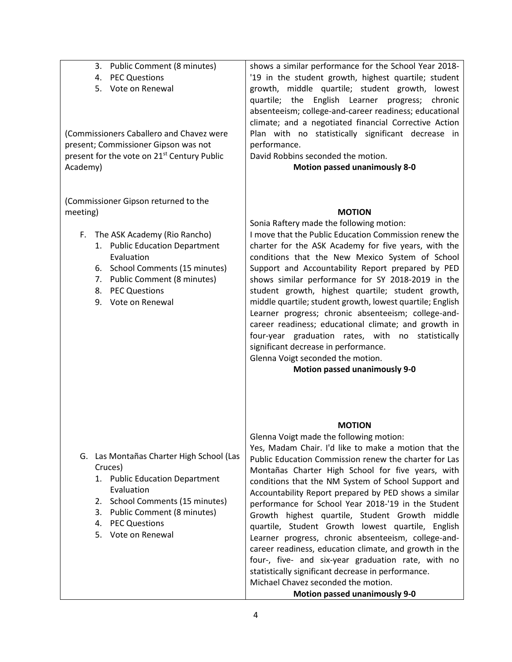| 3. Public Comment (8 minutes)<br>4. PEC Questions<br>5. Vote on Renewal<br>(Commissioners Caballero and Chavez were<br>present; Commissioner Gipson was not<br>present for the vote on 21 <sup>st</sup> Century Public<br>Academy)                   | shows a similar performance for the School Year 2018-<br>'19 in the student growth, highest quartile; student<br>growth, middle quartile; student growth, lowest<br>quartile; the English Learner progress; chronic<br>absenteeism; college-and-career readiness; educational<br>climate; and a negotiated financial Corrective Action<br>Plan with no statistically significant decrease in<br>performance.<br>David Robbins seconded the motion.<br><b>Motion passed unanimously 8-0</b>                                                                                                                                                                                                                                                                                                                               |
|------------------------------------------------------------------------------------------------------------------------------------------------------------------------------------------------------------------------------------------------------|--------------------------------------------------------------------------------------------------------------------------------------------------------------------------------------------------------------------------------------------------------------------------------------------------------------------------------------------------------------------------------------------------------------------------------------------------------------------------------------------------------------------------------------------------------------------------------------------------------------------------------------------------------------------------------------------------------------------------------------------------------------------------------------------------------------------------|
| (Commissioner Gipson returned to the<br>meeting)<br>The ASK Academy (Rio Rancho)<br>F.<br>1. Public Education Department<br>Evaluation<br>6. School Comments (15 minutes)<br>7. Public Comment (8 minutes)<br>8. PEC Questions<br>9. Vote on Renewal | <b>MOTION</b><br>Sonia Raftery made the following motion:<br>I move that the Public Education Commission renew the<br>charter for the ASK Academy for five years, with the<br>conditions that the New Mexico System of School<br>Support and Accountability Report prepared by PED<br>shows similar performance for SY 2018-2019 in the<br>student growth, highest quartile; student growth,<br>middle quartile; student growth, lowest quartile; English<br>Learner progress; chronic absenteeism; college-and-<br>career readiness; educational climate; and growth in<br>four-year graduation rates, with no statistically<br>significant decrease in performance.<br>Glenna Voigt seconded the motion.<br><b>Motion passed unanimously 9-0</b>                                                                       |
| G. Las Montañas Charter High School (Las<br>Cruces)<br>1. Public Education Department<br>Evaluation<br>2. School Comments (15 minutes)<br>3. Public Comment (8 minutes)<br><b>PEC Questions</b><br>4.<br>5. Vote on Renewal                          | <b>MOTION</b><br>Glenna Voigt made the following motion:<br>Yes, Madam Chair. I'd like to make a motion that the<br>Public Education Commission renew the charter for Las<br>Montañas Charter High School for five years, with<br>conditions that the NM System of School Support and<br>Accountability Report prepared by PED shows a similar<br>performance for School Year 2018-'19 in the Student<br>Growth highest quartile, Student Growth middle<br>quartile, Student Growth lowest quartile, English<br>Learner progress, chronic absenteeism, college-and-<br>career readiness, education climate, and growth in the<br>four-, five- and six-year graduation rate, with no<br>statistically significant decrease in performance.<br>Michael Chavez seconded the motion.<br><b>Motion passed unanimously 9-0</b> |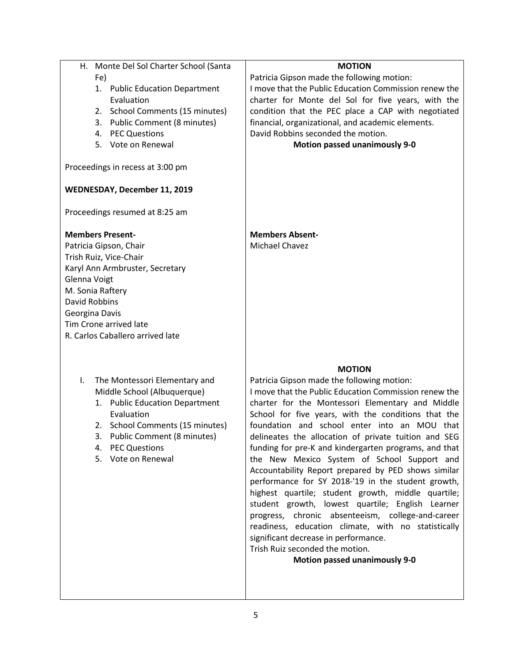| Monte Del Sol Charter School (Santa<br>Н. | <b>MOTION</b>                                         |
|-------------------------------------------|-------------------------------------------------------|
| Fe)                                       | Patricia Gipson made the following motion:            |
| 1. Public Education Department            | I move that the Public Education Commission renew the |
| Evaluation                                | charter for Monte del Sol for five years, with the    |
| <b>School Comments (15 minutes)</b><br>2. | condition that the PEC place a CAP with negotiated    |
| <b>Public Comment (8 minutes)</b><br>3.   | financial, organizational, and academic elements.     |
| 4. PEC Questions                          | David Robbins seconded the motion.                    |
| 5. Vote on Renewal                        | <b>Motion passed unanimously 9-0</b>                  |
|                                           |                                                       |
| Proceedings in recess at 3:00 pm          |                                                       |
| WEDNESDAY, December 11, 2019              |                                                       |
| Proceedings resumed at 8:25 am            |                                                       |
| <b>Members Present-</b>                   | <b>Members Absent-</b>                                |
| Patricia Gipson, Chair                    | Michael Chavez                                        |
| Trish Ruiz, Vice-Chair                    |                                                       |
| Karyl Ann Armbruster, Secretary           |                                                       |
| Glenna Voigt                              |                                                       |
| M. Sonia Raftery                          |                                                       |
| <b>David Robbins</b>                      |                                                       |
| Georgina Davis                            |                                                       |
| Tim Crone arrived late                    |                                                       |
| R. Carlos Caballero arrived late          |                                                       |
|                                           |                                                       |
|                                           |                                                       |
|                                           | <b>MOTION</b>                                         |
| The Montessori Elementary and<br>I.       | Patricia Gipson made the following motion:            |
| Middle School (Albuquerque)               | I move that the Public Education Commission renew the |
| 1. Public Education Department            | charter for the Montessori Elementary and Middle      |
| Evaluation                                | School for five years, with the conditions that the   |
| 2. School Comments (15 minutes)           | foundation and school enter into an MOU that          |
| 3. Public Comment (8 minutes)             | delineates the allocation of private tuition and SEG  |
| <b>PEC Questions</b><br>4.                | funding for pre-K and kindergarten programs, and that |
| 5. Vote on Renewal                        | the New Mexico System of School Support and           |
|                                           | Accountability Report prepared by PED shows similar   |
|                                           | performance for SY 2018-'19 in the student growth,    |
|                                           | highest quartile; student growth, middle quartile;    |
|                                           | student growth, lowest quartile; English Learner      |
|                                           | progress, chronic absenteeism, college-and-career     |
|                                           | readiness, education climate, with no statistically   |
|                                           | significant decrease in performance.                  |
|                                           | Trish Ruiz seconded the motion.                       |
|                                           | <b>Motion passed unanimously 9-0</b>                  |
|                                           |                                                       |
|                                           |                                                       |
|                                           |                                                       |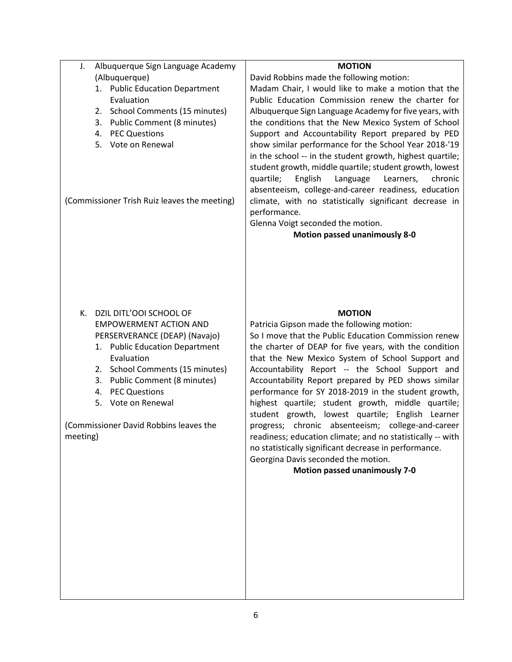| <b>MOTION</b>                                                                                                                                                                                                                                                                                                                                                                                                                                                                                                                                                                                                                                                                                                                                                       |
|---------------------------------------------------------------------------------------------------------------------------------------------------------------------------------------------------------------------------------------------------------------------------------------------------------------------------------------------------------------------------------------------------------------------------------------------------------------------------------------------------------------------------------------------------------------------------------------------------------------------------------------------------------------------------------------------------------------------------------------------------------------------|
| David Robbins made the following motion:                                                                                                                                                                                                                                                                                                                                                                                                                                                                                                                                                                                                                                                                                                                            |
| Madam Chair, I would like to make a motion that the                                                                                                                                                                                                                                                                                                                                                                                                                                                                                                                                                                                                                                                                                                                 |
| Public Education Commission renew the charter for                                                                                                                                                                                                                                                                                                                                                                                                                                                                                                                                                                                                                                                                                                                   |
| Albuquerque Sign Language Academy for five years, with                                                                                                                                                                                                                                                                                                                                                                                                                                                                                                                                                                                                                                                                                                              |
| the conditions that the New Mexico System of School                                                                                                                                                                                                                                                                                                                                                                                                                                                                                                                                                                                                                                                                                                                 |
| Support and Accountability Report prepared by PED                                                                                                                                                                                                                                                                                                                                                                                                                                                                                                                                                                                                                                                                                                                   |
| show similar performance for the School Year 2018-'19                                                                                                                                                                                                                                                                                                                                                                                                                                                                                                                                                                                                                                                                                                               |
| in the school -- in the student growth, highest quartile;<br>student growth, middle quartile; student growth, lowest<br>quartile;<br>English<br>Language<br>Learners,<br>chronic<br>absenteeism, college-and-career readiness, education<br>climate, with no statistically significant decrease in<br>performance.<br>Glenna Voigt seconded the motion.<br><b>Motion passed unanimously 8-0</b>                                                                                                                                                                                                                                                                                                                                                                     |
| <b>MOTION</b><br>Patricia Gipson made the following motion:<br>So I move that the Public Education Commission renew<br>the charter of DEAP for five years, with the condition<br>that the New Mexico System of School Support and<br>Accountability Report -- the School Support and<br>Accountability Report prepared by PED shows similar<br>performance for SY 2018-2019 in the student growth,<br>highest quartile; student growth, middle quartile;<br>student growth, lowest quartile; English Learner<br>progress;<br>chronic absenteeism; college-and-career<br>readiness; education climate; and no statistically -- with<br>no statistically significant decrease in performance.<br>Georgina Davis seconded the motion.<br>Motion passed unanimously 7-0 |
| Albuquerque Sign Language Academy<br>(Albuquerque)<br>1. Public Education Department<br>Evaluation<br>2. School Comments (15 minutes)<br>3. Public Comment (8 minutes)<br>4. PEC Questions<br>5. Vote on Renewal<br>(Commissioner Trish Ruiz leaves the meeting)<br>DZIL DITL'OOI SCHOOL OF<br><b>EMPOWERMENT ACTION AND</b><br>PERSERVERANCE (DEAP) (Navajo)<br>1. Public Education Department<br>Evaluation<br>2. School Comments (15 minutes)<br>3. Public Comment (8 minutes)<br>4. PEC Questions<br>5. Vote on Renewal<br>(Commissioner David Robbins leaves the                                                                                                                                                                                               |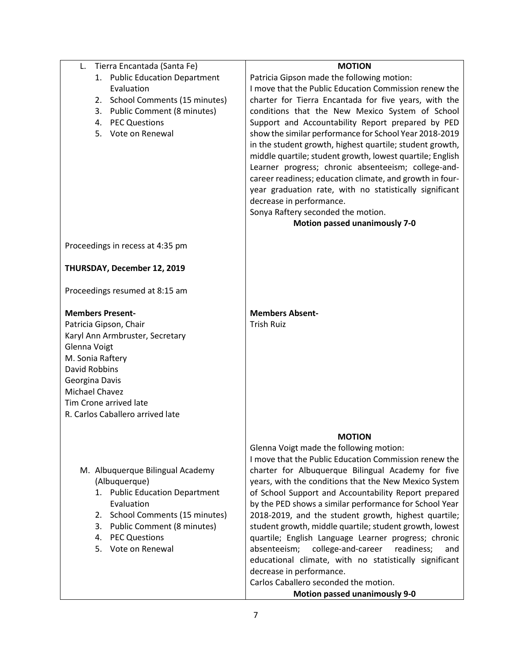| Tierra Encantada (Santa Fe)<br>L.  | <b>MOTION</b>                                             |
|------------------------------------|-----------------------------------------------------------|
| 1. Public Education Department     | Patricia Gipson made the following motion:                |
| Evaluation                         | I move that the Public Education Commission renew the     |
| 2. School Comments (15 minutes)    | charter for Tierra Encantada for five years, with the     |
| 3. Public Comment (8 minutes)      | conditions that the New Mexico System of School           |
| 4. PEC Questions                   | Support and Accountability Report prepared by PED         |
| 5. Vote on Renewal                 | show the similar performance for School Year 2018-2019    |
|                                    | in the student growth, highest quartile; student growth,  |
|                                    | middle quartile; student growth, lowest quartile; English |
|                                    | Learner progress; chronic absenteeism; college-and-       |
|                                    | career readiness; education climate, and growth in four-  |
|                                    | year graduation rate, with no statistically significant   |
|                                    | decrease in performance.                                  |
|                                    | Sonya Raftery seconded the motion.                        |
|                                    | <b>Motion passed unanimously 7-0</b>                      |
|                                    |                                                           |
| Proceedings in recess at 4:35 pm   |                                                           |
| THURSDAY, December 12, 2019        |                                                           |
|                                    |                                                           |
| Proceedings resumed at 8:15 am     |                                                           |
| <b>Members Present-</b>            | <b>Members Absent-</b>                                    |
| Patricia Gipson, Chair             | <b>Trish Ruiz</b>                                         |
| Karyl Ann Armbruster, Secretary    |                                                           |
| Glenna Voigt                       |                                                           |
| M. Sonia Raftery                   |                                                           |
| David Robbins                      |                                                           |
| Georgina Davis                     |                                                           |
| Michael Chavez                     |                                                           |
| Tim Crone arrived late             |                                                           |
| R. Carlos Caballero arrived late   |                                                           |
|                                    |                                                           |
|                                    | <b>MOTION</b>                                             |
|                                    | Glenna Voigt made the following motion:                   |
|                                    | I move that the Public Education Commission renew the     |
| M. Albuquerque Bilingual Academy   | charter for Albuquerque Bilingual Academy for five        |
| (Albuquerque)                      | years, with the conditions that the New Mexico System     |
| 1. Public Education Department     | of School Support and Accountability Report prepared      |
| Evaluation                         | by the PED shows a similar performance for School Year    |
| School Comments (15 minutes)<br>2. | 2018-2019, and the student growth, highest quartile;      |
| Public Comment (8 minutes)<br>3.   | student growth, middle quartile; student growth, lowest   |
| <b>PEC Questions</b><br>4.         | quartile; English Language Learner progress; chronic      |
| Vote on Renewal<br>5.              | college-and-career<br>absenteeism;<br>readiness;<br>and   |
|                                    | educational climate, with no statistically significant    |
|                                    | decrease in performance.                                  |
|                                    | Carlos Caballero seconded the motion.                     |
|                                    | <b>Motion passed unanimously 9-0</b>                      |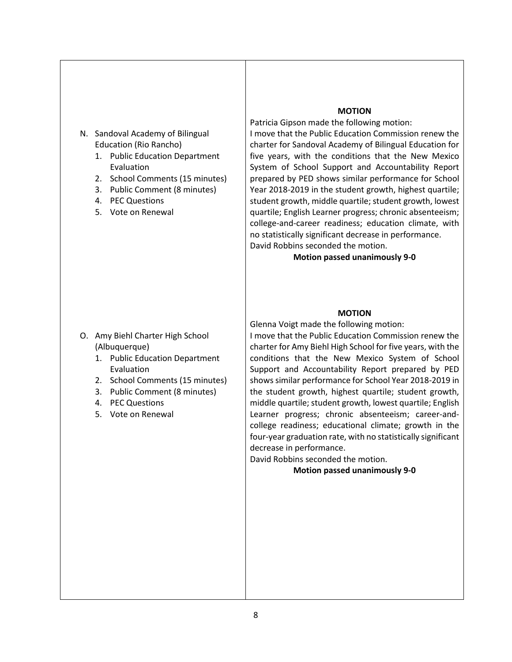- N. Sandoval Academy of Bilingual Education (Rio Rancho)
	- 1. Public Education Department Evaluation
	- 2. School Comments (15 minutes)
	- 3. Public Comment (8 minutes)
	- 4. PEC Questions
	- 5. Vote on Renewal

#### **MOTION**

Patricia Gipson made the following motion: I move that the Public Education Commission renew the charter for Sandoval Academy of Bilingual Education for five years, with the conditions that the New Mexico System of School Support and Accountability Report prepared by PED shows similar performance for School Year 2018-2019 in the student growth, highest quartile; student growth, middle quartile; student growth, lowest quartile; English Learner progress; chronic absenteeism; college-and-career readiness; education climate, with no statistically significant decrease in performance. David Robbins seconded the motion.

# **Motion passed unanimously 9-0**

#### **MOTION**

O. Amy Biehl Charter High School (Albuquerque)

- 1. Public Education Department Evaluation
- 2. School Comments (15 minutes)
- 3. Public Comment (8 minutes)
- 4. PEC Questions
- 5. Vote on Renewal

Glenna Voigt made the following motion:

I move that the Public Education Commission renew the charter for Amy Biehl High School for five years, with the conditions that the New Mexico System of School Support and Accountability Report prepared by PED shows similar performance for School Year 2018-2019 in the student growth, highest quartile; student growth, middle quartile; student growth, lowest quartile; English Learner progress; chronic absenteeism; career-andcollege readiness; educational climate; growth in the four-year graduation rate, with no statistically significant decrease in performance.

David Robbins seconded the motion.

**Motion passed unanimously 9-0**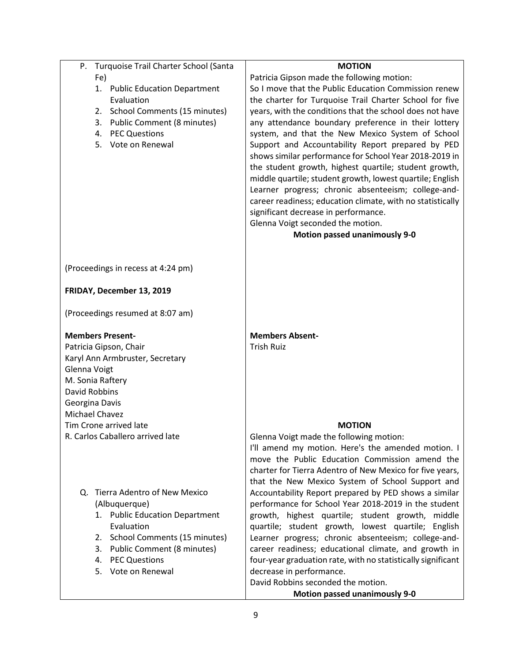| Turquoise Trail Charter School (Santa<br>Р. | <b>MOTION</b>                                                |
|---------------------------------------------|--------------------------------------------------------------|
| Fe)                                         | Patricia Gipson made the following motion:                   |
| 1. Public Education Department              | So I move that the Public Education Commission renew         |
| Evaluation                                  | the charter for Turquoise Trail Charter School for five      |
| School Comments (15 minutes)<br>2.          | years, with the conditions that the school does not have     |
| 3. Public Comment (8 minutes)               | any attendance boundary preference in their lottery          |
| 4. PEC Questions                            | system, and that the New Mexico System of School             |
| 5. Vote on Renewal                          | Support and Accountability Report prepared by PED            |
|                                             | shows similar performance for School Year 2018-2019 in       |
|                                             | the student growth, highest quartile; student growth,        |
|                                             | middle quartile; student growth, lowest quartile; English    |
|                                             | Learner progress; chronic absenteeism; college-and-          |
|                                             |                                                              |
|                                             | career readiness; education climate, with no statistically   |
|                                             | significant decrease in performance.                         |
|                                             | Glenna Voigt seconded the motion.                            |
|                                             | <b>Motion passed unanimously 9-0</b>                         |
|                                             |                                                              |
| (Proceedings in recess at 4:24 pm)          |                                                              |
|                                             |                                                              |
| FRIDAY, December 13, 2019                   |                                                              |
|                                             |                                                              |
| (Proceedings resumed at 8:07 am)            |                                                              |
| <b>Members Present-</b>                     | <b>Members Absent-</b>                                       |
| Patricia Gipson, Chair                      | <b>Trish Ruiz</b>                                            |
| Karyl Ann Armbruster, Secretary             |                                                              |
| Glenna Voigt                                |                                                              |
| M. Sonia Raftery                            |                                                              |
| David Robbins                               |                                                              |
| Georgina Davis                              |                                                              |
| Michael Chavez                              |                                                              |
| Tim Crone arrived late                      | <b>MOTION</b>                                                |
| R. Carlos Caballero arrived late            | Glenna Voigt made the following motion:                      |
|                                             | I'll amend my motion. Here's the amended motion. I           |
|                                             | move the Public Education Commission amend the               |
|                                             | charter for Tierra Adentro of New Mexico for five years,     |
|                                             | that the New Mexico System of School Support and             |
| Q. Tierra Adentro of New Mexico             | Accountability Report prepared by PED shows a similar        |
| (Albuquerque)                               | performance for School Year 2018-2019 in the student         |
| 1. Public Education Department              | growth, highest quartile; student growth, middle             |
| Evaluation                                  | quartile; student growth, lowest quartile; English           |
| School Comments (15 minutes)<br>2.          | Learner progress; chronic absenteeism; college-and-          |
| 3. Public Comment (8 minutes)               | career readiness; educational climate, and growth in         |
| 4. PEC Questions                            | four-year graduation rate, with no statistically significant |
| 5. Vote on Renewal                          | decrease in performance.                                     |
|                                             | David Robbins seconded the motion.                           |
|                                             | <b>Motion passed unanimously 9-0</b>                         |
|                                             |                                                              |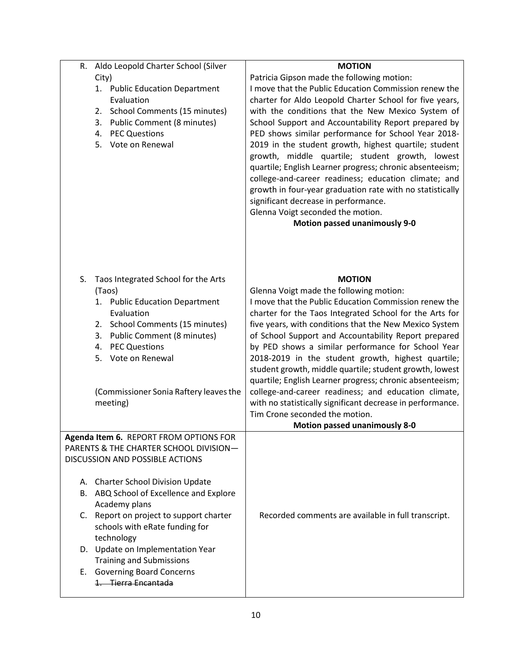| Aldo Leopold Charter School (Silver<br>R.     | <b>MOTION</b>                                              |
|-----------------------------------------------|------------------------------------------------------------|
| City)                                         | Patricia Gipson made the following motion:                 |
| 1. Public Education Department                | I move that the Public Education Commission renew the      |
| Evaluation                                    | charter for Aldo Leopold Charter School for five years,    |
| School Comments (15 minutes)<br>2.            | with the conditions that the New Mexico System of          |
| <b>Public Comment (8 minutes)</b><br>3.       | School Support and Accountability Report prepared by       |
| <b>PEC Questions</b>                          |                                                            |
| 4.                                            | PED shows similar performance for School Year 2018-        |
| 5. Vote on Renewal                            | 2019 in the student growth, highest quartile; student      |
|                                               | growth, middle quartile; student growth, lowest            |
|                                               | quartile; English Learner progress; chronic absenteeism;   |
|                                               | college-and-career readiness; education climate; and       |
|                                               | growth in four-year graduation rate with no statistically  |
|                                               | significant decrease in performance.                       |
|                                               | Glenna Voigt seconded the motion.                          |
|                                               | <b>Motion passed unanimously 9-0</b>                       |
| S.                                            | <b>MOTION</b>                                              |
| Taos Integrated School for the Arts           |                                                            |
| (Taos)                                        | Glenna Voigt made the following motion:                    |
| 1. Public Education Department<br>Evaluation  | I move that the Public Education Commission renew the      |
|                                               | charter for the Taos Integrated School for the Arts for    |
| 2. School Comments (15 minutes)               | five years, with conditions that the New Mexico System     |
| 3. Public Comment (8 minutes)                 | of School Support and Accountability Report prepared       |
| 4. PEC Questions                              | by PED shows a similar performance for School Year         |
| 5. Vote on Renewal                            | 2018-2019 in the student growth, highest quartile;         |
|                                               | student growth, middle quartile; student growth, lowest    |
|                                               | quartile; English Learner progress; chronic absenteeism;   |
| (Commissioner Sonia Raftery leaves the        | college-and-career readiness; and education climate,       |
| meeting)                                      | with no statistically significant decrease in performance. |
|                                               | Tim Crone seconded the motion.                             |
|                                               | <b>Motion passed unanimously 8-0</b>                       |
| <b>Agenda Item 6. REPORT FROM OPTIONS FOR</b> |                                                            |
| PARENTS & THE CHARTER SCHOOL DIVISION-        |                                                            |
| <b>DISCUSSION AND POSSIBLE ACTIONS</b>        |                                                            |
|                                               |                                                            |
| A. Charter School Division Update             |                                                            |
| ABQ School of Excellence and Explore<br>В.    |                                                            |
| Academy plans                                 |                                                            |
| C. Report on project to support charter       | Recorded comments are available in full transcript.        |
| schools with eRate funding for                |                                                            |
| technology                                    |                                                            |
| D. Update on Implementation Year              |                                                            |
| <b>Training and Submissions</b>               |                                                            |
| E. Governing Board Concerns                   |                                                            |
| 1. Tierra Encantada                           |                                                            |